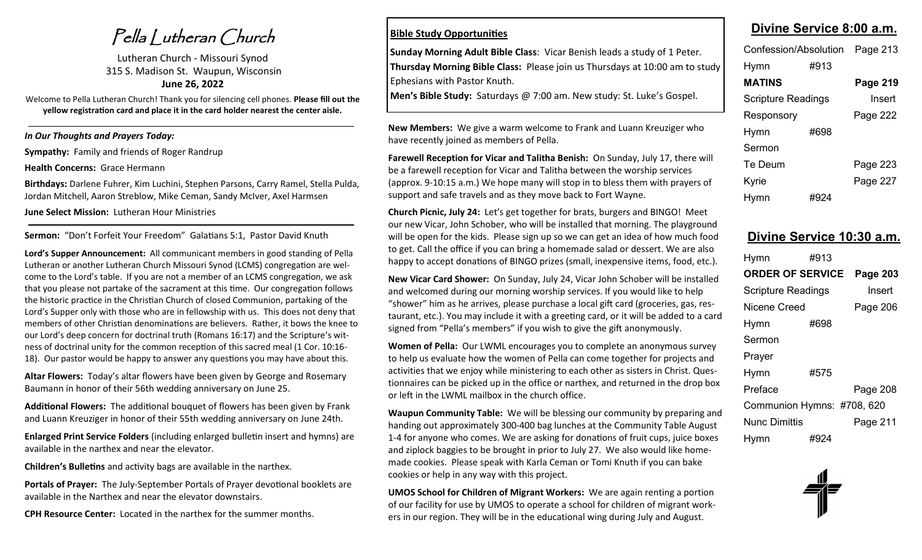Pella Lutheran Church

Lutheran Church - Missouri Synod 315 S. Madison St. Waupun, Wisconsin **June 26, 2022**

Welcome to Pella Lutheran Church! Thank you for silencing cell phones. **Please fill out the yellow registration card and place it in the card holder nearest the center aisle.** 

*In Our Thoughts and Prayers Today:*

**Sympathy:** Family and friends of Roger Randrup

**Health Concerns:** Grace Hermann

**Birthdays:** Darlene Fuhrer, Kim Luchini, Stephen Parsons, Carry Ramel, Stella Pulda, Jordan Mitchell, Aaron Streblow, Mike Ceman, Sandy McIver, Axel Harmsen

**June Select Mission:** Lutheran Hour Ministries

**Sermon:** "Don't Forfeit Your Freedom" Galatians 5:1, Pastor David Knuth

**Lord's Supper Announcement:** All communicant members in good standing of Pella Lutheran or another Lutheran Church Missouri Synod (LCMS) congregation are welcome to the Lord's table. If you are not a member of an LCMS congregation, we ask that you please not partake of the sacrament at this time. Our congregation follows the historic practice in the Christian Church of closed Communion, partaking of the Lord's Supper only with those who are in fellowship with us. This does not deny that members of other Christian denominations are believers. Rather, it bows the knee to our Lord's deep concern for doctrinal truth (Romans 16:17) and the Scripture's witness of doctrinal unity for the common reception of this sacred meal (1 Cor. 10:16- 18). Our pastor would be happy to answer any questions you may have about this.

**Altar Flowers:** Today's altar flowers have been given by George and Rosemary Baumann in honor of their 56th wedding anniversary on June 25.

**Additional Flowers:** The additional bouquet of flowers has been given by Frank and Luann Kreuziger in honor of their 55th wedding anniversary on June 24th.

**Enlarged Print Service Folders** (including enlarged bulletin insert and hymns) are available in the narthex and near the elevator.

**Children's Bulletins** and activity bags are available in the narthex.

**Portals of Prayer:** The July-September Portals of Prayer devotional booklets are available in the Narthex and near the elevator downstairs.

**CPH Resource Center:** Located in the narthex for the summer months.

#### **Bible Study Opportunities**

**Sunday Morning Adult Bible Class**: Vicar Benish leads a study of 1 Peter. **Thursday Morning Bible Class:** Please join us Thursdays at 10:00 am to study Ephesians with Pastor Knuth.

**Men's Bible Study:** Saturdays @ 7:00 am. New study: St. Luke's Gospel.

**New Members:** We give a warm welcome to Frank and Luann Kreuziger who have recently joined as members of Pella.

**Farewell Reception for Vicar and Talitha Benish:** On Sunday, July 17, there will be a farewell reception for Vicar and Talitha between the worship services (approx. 9-10:15 a.m.) We hope many will stop in to bless them with prayers of support and safe travels and as they move back to Fort Wayne.

**Church Picnic, July 24:** Let's get together for brats, burgers and BINGO! Meet our new Vicar, John Schober, who will be installed that morning. The playground will be open for the kids. Please sign up so we can get an idea of how much food to get. Call the office if you can bring a homemade salad or dessert. We are also happy to accept donations of BINGO prizes (small, inexpensive items, food, etc.).

**New Vicar Card Shower:** On Sunday, July 24, Vicar John Schober will be installed and welcomed during our morning worship services. If you would like to help "shower" him as he arrives, please purchase a local gift card (groceries, gas, restaurant, etc.). You may include it with a greeting card, or it will be added to a card signed from "Pella's members" if you wish to give the gift anonymously.

**Women of Pella:** Our LWML encourages you to complete an anonymous survey to help us evaluate how the women of Pella can come together for projects and activities that we enjoy while ministering to each other as sisters in Christ. Questionnaires can be picked up in the office or narthex, and returned in the drop box or left in the LWML mailbox in the church office.

**Waupun Community Table:** We will be blessing our community by preparing and handing out approximately 300-400 bag lunches at the Community Table August 1-4 for anyone who comes. We are asking for donations of fruit cups, juice boxes and ziplock baggies to be brought in prior to July 27. We also would like homemade cookies. Please speak with Karla Ceman or Tomi Knuth if you can bake cookies or help in any way with this project.

**UMOS School for Children of Migrant Workers:** We are again renting a portion of our facility for use by UMOS to operate a school for children of migrant workers in our region. They will be in the educational wing during July and August.

### **Divine Service 8:00 a.m.**

| Confession/Absolution |      | Page 213 |
|-----------------------|------|----------|
| Hymn                  | #913 |          |
| <b>MATINS</b>         |      | Page 219 |
| Scripture Readings    |      | Insert   |
| Responsory            |      | Page 222 |
| Hymn                  | #698 |          |
| Sermon                |      |          |
| Te Deum               |      | Page 223 |
| Kyrie                 |      | Page 227 |
| Hymn                  | #924 |          |

#### **Divine Service 10:30 a.m.**

| Hymn                       | #913 |          |
|----------------------------|------|----------|
| <b>ORDER OF SERVICE</b>    |      | Page 203 |
| <b>Scripture Readings</b>  |      | Insert   |
| Nicene Creed               |      | Page 206 |
| Hymn                       | #698 |          |
| Sermon                     |      |          |
| Prayer                     |      |          |
| Hymn                       | #575 |          |
| Preface                    |      | Page 208 |
| Communion Hymns: #708, 620 |      |          |
| Nunc Dimittis              |      | Page 211 |
| Hymn                       | #924 |          |